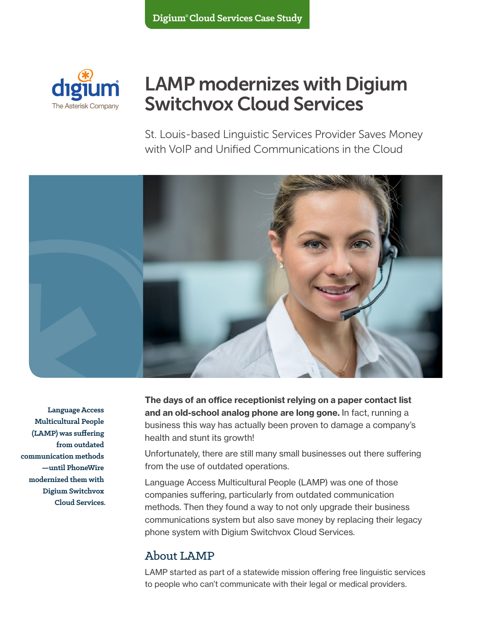

# LAMP modernizes with Digium Switchvox Cloud Services

St. Louis-based Linguistic Services Provider Saves Money with VoIP and Unified Communications in the Cloud



**Language Access Multicultural People (LAMP) was suffering from outdated communication methods —until PhoneWire modernized them with Digium Switchvox Cloud Services.** The days of an office receptionist relying on a paper contact list and an old-school analog phone are long gone. In fact, running a business this way has actually been proven to damage a company's health and stunt its growth!

Unfortunately, there are still many small businesses out there suffering from the use of outdated operations.

Language Access Multicultural People (LAMP) was one of those companies suffering, particularly from outdated communication methods. Then they found a way to not only upgrade their business communications system but also save money by replacing their legacy phone system with Digium Switchvox Cloud Services.

#### About LAMP

LAMP started as part of a statewide mission offering free linguistic services to people who can't communicate with their legal or medical providers.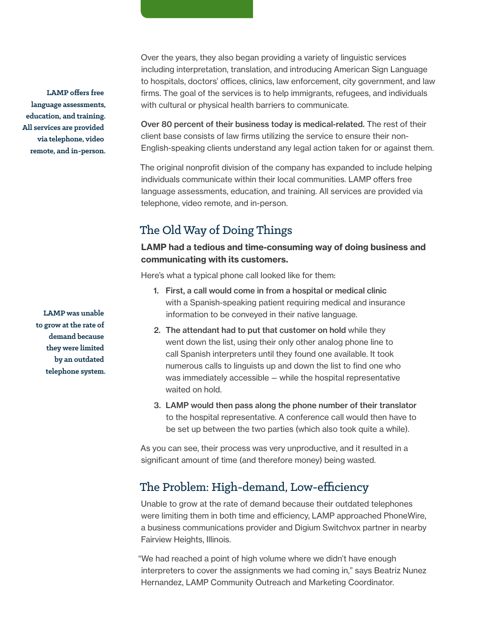**LAMP offers free language assessments, education, and training. All services are provided via telephone, video remote, and in-person.** 

> **LAMP was unable to grow at the rate of demand because they were limited by an outdated telephone system.**

Over the years, they also began providing a variety of linguistic services including interpretation, translation, and introducing American Sign Language to hospitals, doctors' offices, clinics, law enforcement, city government, and law firms. The goal of the services is to help immigrants, refugees, and individuals with cultural or physical health barriers to communicate.

Over 80 percent of their business today is medical-related. The rest of their client base consists of law firms utilizing the service to ensure their non-English-speaking clients understand any legal action taken for or against them.

The original nonprofit division of the company has expanded to include helping individuals communicate within their local communities. LAMP offers free language assessments, education, and training. All services are provided via telephone, video remote, and in-person.

### The Old Way of Doing Things

#### LAMP had a tedious and time-consuming way of doing business and communicating with its customers.

Here's what a typical phone call looked like for them:

- 1. First, a call would come in from a hospital or medical clinic with a Spanish-speaking patient requiring medical and insurance information to be conveyed in their native language.
- 2. The attendant had to put that customer on hold while they went down the list, using their only other analog phone line to call Spanish interpreters until they found one available. It took numerous calls to linguists up and down the list to find one who was immediately accessible—while the hospital representative waited on hold.
- 3. LAMP would then pass along the phone number of their translator to the hospital representative. A conference call would then have to be set up between the two parties (which also took quite a while).

As you can see, their process was very unproductive, and it resulted in a significant amount of time (and therefore money) being wasted.

#### The Problem: High-demand, Low-efficiency

Unable to grow at the rate of demand because their outdated telephones were limiting them in both time and efficiency, LAMP approached PhoneWire, a business communications provider and Digium Switchvox partner in nearby Fairview Heights, Illinois.

"We had reached a point of high volume where we didn't have enough interpreters to cover the assignments we had coming in," says Beatriz Nunez Hernandez, LAMP Community Outreach and Marketing Coordinator.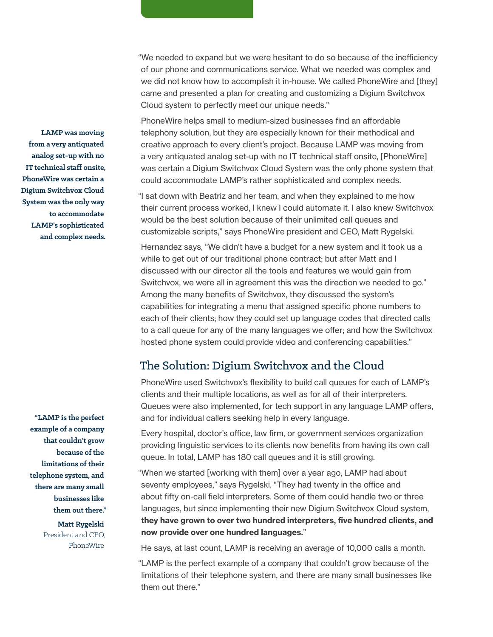"We needed to expand but we were hesitant to do so because of the inefficiency of our phone and communications service. What we needed was complex and we did not know how to accomplish it in-house. We called PhoneWire and [they] came and presented a plan for creating and customizing a Digium Switchvox Cloud system to perfectly meet our unique needs."

PhoneWire helps small to medium-sized businesses find an affordable telephony solution, but they are especially known for their methodical and creative approach to every client's project. Because LAMP was moving from a very antiquated analog set-up with no IT technical staff onsite, [PhoneWire] was certain a Digium Switchvox Cloud System was the only phone system that could accommodate LAMP's rather sophisticated and complex needs.

"I sat down with Beatriz and her team, and when they explained to me how their current process worked, I knew I could automate it. I also knew Switchvox would be the best solution because of their unlimited call queues and customizable scripts," says PhoneWire president and CEO, Matt Rygelski.

Hernandez says, "We didn't have a budget for a new system and it took us a while to get out of our traditional phone contract; but after Matt and I discussed with our director all the tools and features we would gain from Switchvox, we were all in agreement this was the direction we needed to go." Among the many benefits of Switchvox, they discussed the system's capabilities for integrating a menu that assigned specific phone numbers to each of their clients; how they could set up language codes that directed calls to a call queue for any of the many languages we offer; and how the Switchvox hosted phone system could provide video and conferencing capabilities."

#### The Solution: Digium Switchvox and the Cloud

PhoneWire used Switchvox's flexibility to build call queues for each of LAMP's clients and their multiple locations, as well as for all of their interpreters. Queues were also implemented, for tech support in any language LAMP offers, and for individual callers seeking help in every language.

Every hospital, doctor's office, law firm, or government services organization providing linguistic services to its clients now benefits from having its own call queue. In total, LAMP has 180 call queues and it is still growing.

"When we started [working with them] over a year ago, LAMP had about seventy employees," says Rygelski. "They had twenty in the office and about fifty on-call field interpreters. Some of them could handle two or three languages, but since implementing their new Digium Switchvox Cloud system, they have grown to over two hundred interpreters, five hundred clients, and now provide over one hundred languages."

He says, at last count, LAMP is receiving an average of 10,000 calls a month.

"LAMP is the perfect example of a company that couldn't grow because of the limitations of their telephone system, and there are many small businesses like them out there."

**LAMP was moving from a very antiquated analog set-up with no IT technical staff onsite, PhoneWire was certain a Digium Switchvox Cloud System was the only way to accommodate LAMP's sophisticated and complex needs.**

> **"LAMP is the perfect example of a company that couldn't grow because of the limitations of their telephone system, and there are many small businesses like them out there."**

> > **Matt Rygelski** President and CEO, PhoneWire